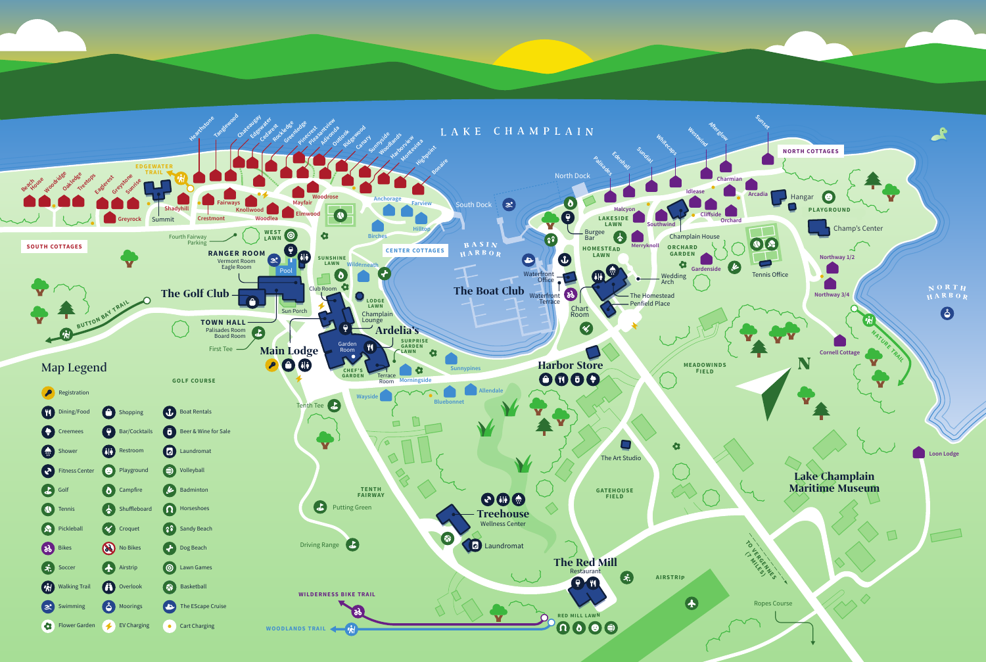